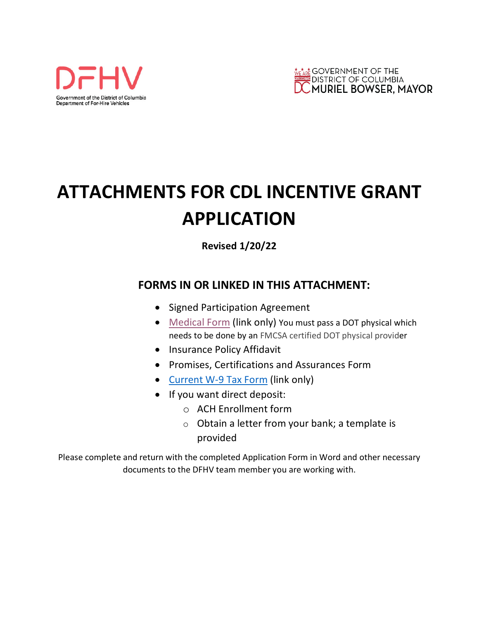



# **ATTACHMENTS FOR CDL INCENTIVE GRANT APPLICATION**

**Revised 1/20/22**

## **FORMS IN OR LINKED IN THIS ATTACHMENT:**

- [Signed Particip](https://dfhv.dc.gov/sites/default/files/dc/sites/dc%20taxi/medicalexaminationmcsa587511302021.pdf)ation Agreement
- Medical Form (link only) You must pass a DOT physical which needs to be done by an FMCSA certified DOT physical provider
- Insurance Policy Affidavit
- [Promises, Certifications](https://www.irs.gov/pub/irs-pdf/fw9.pdf) and Assurances Form
- Current W-9 Tax Form (link only)
- If you want direct deposit:
	- o ACH Enrollment for[m](mailto:wendy.klancher@dc.gov)
	- $\circ$  Obtain a letter from your bank; a template is provided

Please complete and return with the completed Application Form in Word and other necessary documents to the DFHV team member you are working with.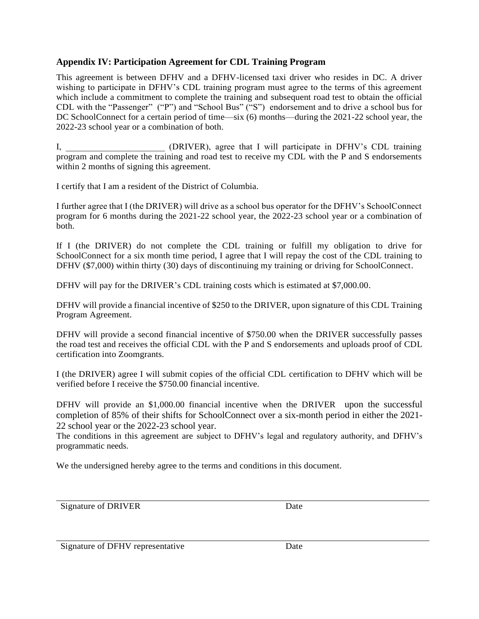#### **Appendix IV: Participation Agreement for CDL Training Program**

This agreement is between DFHV and a DFHV-licensed taxi driver who resides in DC. A driver wishing to participate in DFHV's CDL training program must agree to the terms of this agreement which include a commitment to complete the training and subsequent road test to obtain the official CDL with the "Passenger" ("P") and "School Bus" ("S") endorsement and to drive a school bus for DC SchoolConnect for a certain period of time—six (6) months—during the 2021-22 school year, the 2022-23 school year or a combination of both.

I, **I,** (DRIVER), agree that I will participate in DFHV's CDL training program and complete the training and road test to receive my CDL with the P and S endorsements within 2 months of signing this agreement.

I certify that I am a resident of the District of Columbia.

I further agree that I (the DRIVER) will drive as a school bus operator for the DFHV's SchoolConnect program for 6 months during the 2021-22 school year, the 2022-23 school year or a combination of both.

If I (the DRIVER) do not complete the CDL training or fulfill my obligation to drive for SchoolConnect for a six month time period, I agree that I will repay the cost of the CDL training to DFHV (\$7,000) within thirty (30) days of discontinuing my training or driving for SchoolConnect.

DFHV will pay for the DRIVER's CDL training costs which is estimated at \$7,000.00.

DFHV will provide a financial incentive of \$250 to the DRIVER, upon signature of this CDL Training Program Agreement.

DFHV will provide a second financial incentive of \$750.00 when the DRIVER successfully passes the road test and receives the official CDL with the P and S endorsements and uploads proof of CDL certification into Zoomgrants.

I (the DRIVER) agree I will submit copies of the official CDL certification to DFHV which will be verified before I receive the \$750.00 financial incentive.

DFHV will provide an \$1,000.00 financial incentive when the DRIVER upon the successful completion of 85% of their shifts for SchoolConnect over a six-month period in either the 2021- 22 school year or the 2022-23 school year.

The conditions in this agreement are subject to DFHV's legal and regulatory authority, and DFHV's programmatic needs.

We the undersigned hereby agree to the terms and conditions in this document.

Signature of DRIVER Date

Signature of DFHV representative Date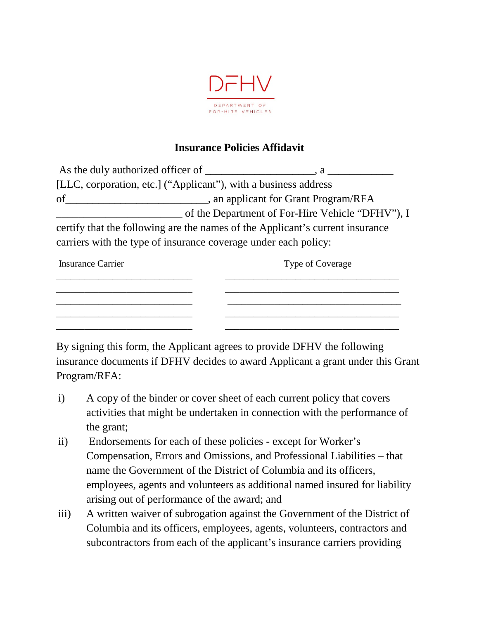

## **Insurance Policies Affidavit**

|                                                                               | $\cdot a$ $\_\_$                                 |
|-------------------------------------------------------------------------------|--------------------------------------------------|
| [LLC, corporation, etc.] ("Applicant"), with a business address               |                                                  |
| _, an applicant for Grant Program/RFA<br>of                                   |                                                  |
|                                                                               | of the Department of For-Hire Vehicle "DFHV"), I |
| certify that the following are the names of the Applicant's current insurance |                                                  |
| carriers with the type of insurance coverage under each policy:               |                                                  |

| <b>Insurance Carrier</b> | Type of Coverage |
|--------------------------|------------------|
|                          |                  |
|                          |                  |
|                          |                  |
|                          |                  |

By signing this form, the Applicant agrees to provide DFHV the following insurance documents if DFHV decides to award Applicant a grant under this Grant Program/RFA:

- i) A copy of the binder or cover sheet of each current policy that covers activities that might be undertaken in connection with the performance of the grant;
- ii) Endorsements for each of these policies except for Worker's Compensation, Errors and Omissions, and Professional Liabilities – that name the Government of the District of Columbia and its officers, employees, agents and volunteers as additional named insured for liability arising out of performance of the award; and
- iii) A written waiver of subrogation against the Government of the District of Columbia and its officers, employees, agents, volunteers, contractors and subcontractors from each of the applicant's insurance carriers providing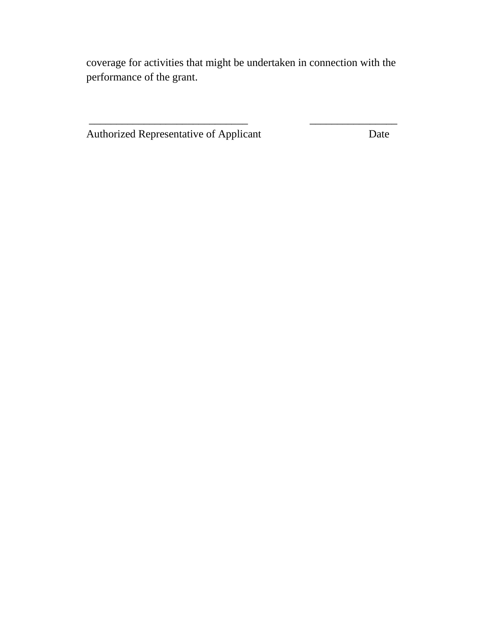coverage for activities that might be undertaken in connection with the performance of the grant.

\_\_\_\_\_\_\_\_\_\_\_\_\_\_\_\_\_\_\_\_\_\_\_\_\_\_\_\_\_ \_\_\_\_\_\_\_\_\_\_\_\_\_\_\_\_

Authorized Representative of Applicant Date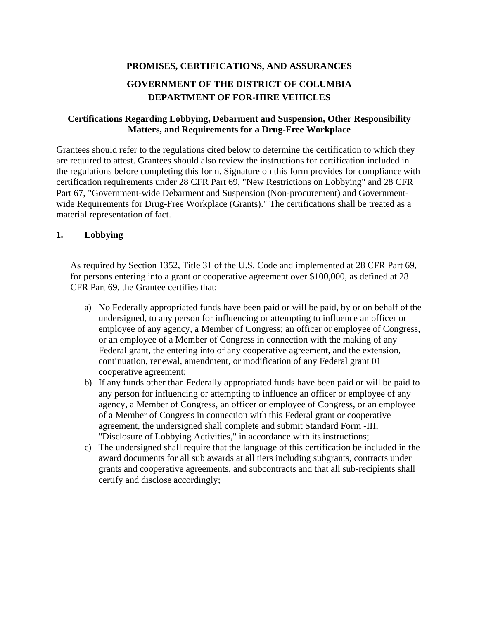# **PROMISES, CERTIFICATIONS, AND ASSURANCES GOVERNMENT OF THE DISTRICT OF COLUMBIA DEPARTMENT OF FOR-HIRE VEHICLES**

#### **Certifications Regarding Lobbying, Debarment and Suspension, Other Responsibility Matters, and Requirements for a Drug-Free Workplace**

Grantees should refer to the regulations cited below to determine the certification to which they are required to attest. Grantees should also review the instructions for certification included in the regulations before completing this form. Signature on this form provides for compliance with certification requirements under 28 CFR Part 69, "New Restrictions on Lobbying" and 28 CFR Part 67, "Government-wide Debarment and Suspension (Non-procurement) and Governmentwide Requirements for Drug-Free Workplace (Grants)." The certifications shall be treated as a material representation of fact.

#### **1. Lobbying**

As required by Section 1352, Title 31 of the U.S. Code and implemented at 28 CFR Part 69, for persons entering into a grant or cooperative agreement over \$100,000, as defined at 28 CFR Part 69, the Grantee certifies that:

- a) No Federally appropriated funds have been paid or will be paid, by or on behalf of the undersigned, to any person for influencing or attempting to influence an officer or employee of any agency, a Member of Congress; an officer or employee of Congress, or an employee of a Member of Congress in connection with the making of any Federal grant, the entering into of any cooperative agreement, and the extension, continuation, renewal, amendment, or modification of any Federal grant 01 cooperative agreement;
- b) If any funds other than Federally appropriated funds have been paid or will be paid to any person for influencing or attempting to influence an officer or employee of any agency, a Member of Congress, an officer or employee of Congress, or an employee of a Member of Congress in connection with this Federal grant or cooperative agreement, the undersigned shall complete and submit Standard Form -III, "Disclosure of Lobbying Activities," in accordance with its instructions;
- c) The undersigned shall require that the language of this certification be included in the award documents for all sub awards at all tiers including subgrants, contracts under grants and cooperative agreements, and subcontracts and that all sub-recipients shall certify and disclose accordingly;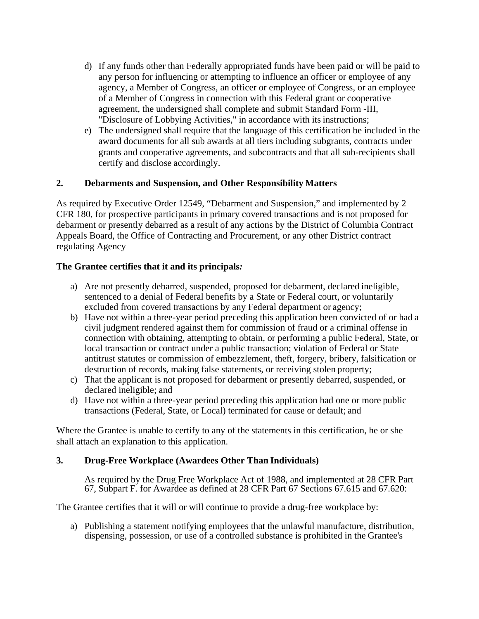- d) If any funds other than Federally appropriated funds have been paid or will be paid to any person for influencing or attempting to influence an officer or employee of any agency, a Member of Congress, an officer or employee of Congress, or an employee of a Member of Congress in connection with this Federal grant or cooperative agreement, the undersigned shall complete and submit Standard Form -III, "Disclosure of Lobbying Activities," in accordance with its instructions;
- e) The undersigned shall require that the language of this certification be included in the award documents for all sub awards at all tiers including subgrants, contracts under grants and cooperative agreements, and subcontracts and that all sub-recipients shall certify and disclose accordingly.

#### **2. Debarments and Suspension, and Other Responsibility Matters**

As required by Executive Order 12549, "Debarment and Suspension," and implemented by 2 CFR 180, for prospective participants in primary covered transactions and is not proposed for debarment or presently debarred as a result of any actions by the District of Columbia Contract Appeals Board, the Office of Contracting and Procurement, or any other District contract regulating Agency

#### **The Grantee certifies that it and its principals***:*

- a) Are not presently debarred, suspended, proposed for debarment, declared ineligible, sentenced to a denial of Federal benefits by a State or Federal court, or voluntarily excluded from covered transactions by any Federal department or agency;
- b) Have not within a three-year period preceding this application been convicted of or had a civil judgment rendered against them for commission of fraud or a criminal offense in connection with obtaining, attempting to obtain, or performing a public Federal, State, or local transaction or contract under a public transaction; violation of Federal or State antitrust statutes or commission of embezzlement, theft, forgery, bribery, falsification or destruction of records, making false statements, or receiving stolen property;
- c) That the applicant is not proposed for debarment or presently debarred, suspended, or declared ineligible; and
- d) Have not within a three-year period preceding this application had one or more public transactions (Federal, State, or Local) terminated for cause or default; and

Where the Grantee is unable to certify to any of the statements in this certification, he or she shall attach an explanation to this application.

#### **3. Drug-Free Workplace (Awardees Other Than Individuals)**

As required by the Drug Free Workplace Act of 1988, and implemented at 28 CFR Part 67, Subpart F. for Awardee as defined at 28 CFR Part 67 Sections 67.615 and 67.620:

The Grantee certifies that it will or will continue to provide a drug-free workplace by:

a) Publishing a statement notifying employees that the unlawful manufacture, distribution, dispensing, possession, or use of a controlled substance is prohibited in the Grantee's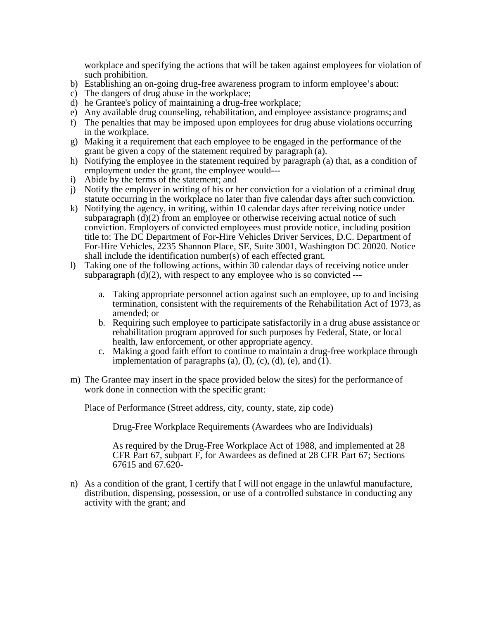workplace and specifying the actions that will be taken against employees for violation of such prohibition.

- b) Establishing an on-going drug-free awareness program to inform employee's about:
- c) The dangers of drug abuse in the workplace;
- d) he Grantee's policy of maintaining a drug-free workplace;
- e) Any available drug counseling, rehabilitation, and employee assistance programs; and
- f) The penalties that may be imposed upon employees for drug abuse violations occurring in the workplace.
- g) Making it a requirement that each employee to be engaged in the performance of the grant be given a copy of the statement required by paragraph (a).
- h) Notifying the employee in the statement required by paragraph (a) that, as a condition of employment under the grant, the employee would---
- i) Abide by the terms of the statement; and
- j) Notify the employer in writing of his or her conviction for a violation of a criminal drug statute occurring in the workplace no later than five calendar days after such conviction.
- k) Notifying the agency, in writing, within 10 calendar days after receiving notice under subparagraph  $(d)(2)$  from an employee or otherwise receiving actual notice of such conviction. Employers of convicted employees must provide notice, including position title to: The DC Department of For-Hire Vehicles Driver Services, D.C. Department of For-Hire Vehicles, 2235 Shannon Place, SE, Suite 3001, Washington DC 20020. Notice shall include the identification number(s) of each effected grant.
- l) Taking one of the following actions, within 30 calendar days of receiving notice under subparagraph  $(d)(2)$ , with respect to any employee who is so convicted --
	- a. Taking appropriate personnel action against such an employee, up to and incising termination, consistent with the requirements of the Rehabilitation Act of 1973, as amended; or
	- b. Requiring such employee to participate satisfactorily in a drug abuse assistance or rehabilitation program approved for such purposes by Federal, State, or local health, law enforcement, or other appropriate agency.
	- c. Making a good faith effort to continue to maintain a drug-free workplace through implementation of paragraphs  $(a)$ ,  $(I)$ ,  $(c)$ ,  $(d)$ ,  $(e)$ , and  $(1)$ .
- m) The Grantee may insert in the space provided below the sites) for the performance of work done in connection with the specific grant:

Place of Performance (Street address, city, county, state, zip code)

Drug-Free Workplace Requirements (Awardees who are Individuals)

As required by the Drug-Free Workplace Act of 1988, and implemented at 28 CFR Part 67, subpart F, for Awardees as defined at 28 CFR Part 67; Sections 67615 and 67.620-

n) As a condition of the grant, I certify that I will not engage in the unlawful manufacture, distribution, dispensing, possession, or use of a controlled substance in conducting any activity with the grant; and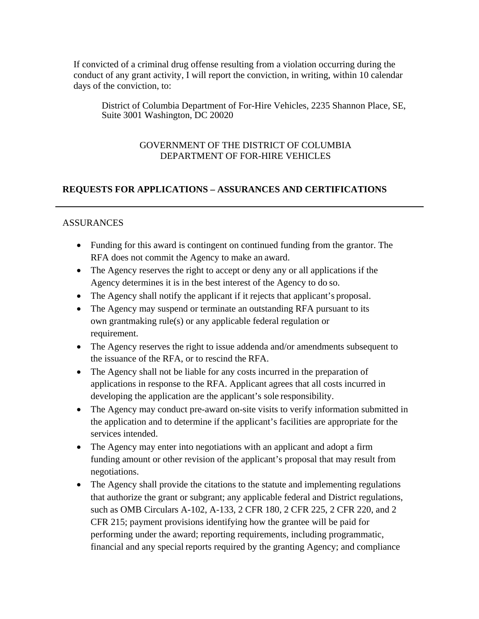If convicted of a criminal drug offense resulting from a violation occurring during the conduct of any grant activity, I will report the conviction, in writing, within 10 calendar days of the conviction, to:

District of Columbia Department of For-Hire Vehicles, 2235 Shannon Place, SE, Suite 3001 Washington, DC 20020

#### GOVERNMENT OF THE DISTRICT OF COLUMBIA DEPARTMENT OF FOR-HIRE VEHICLES

#### **REQUESTS FOR APPLICATIONS – ASSURANCES AND CERTIFICATIONS**

#### ASSURANCES

- Funding for this award is contingent on continued funding from the grantor. The RFA does not commit the Agency to make an award.
- The Agency reserves the right to accept or deny any or all applications if the Agency determines it is in the best interest of the Agency to do so.
- The Agency shall notify the applicant if it rejects that applicant's proposal.
- The Agency may suspend or terminate an outstanding RFA pursuant to its own grantmaking rule(s) or any applicable federal regulation or requirement.
- The Agency reserves the right to issue addenda and/or amendments subsequent to the issuance of the RFA, or to rescind the RFA.
- The Agency shall not be liable for any costs incurred in the preparation of applications in response to the RFA. Applicant agrees that all costs incurred in developing the application are the applicant's sole responsibility.
- The Agency may conduct pre-award on-site visits to verify information submitted in the application and to determine if the applicant's facilities are appropriate for the services intended.
- The Agency may enter into negotiations with an applicant and adopt a firm funding amount or other revision of the applicant's proposal that may result from negotiations.
- The Agency shall provide the citations to the statute and implementing regulations that authorize the grant or subgrant; any applicable federal and District regulations, such as OMB Circulars A-102, A-133, 2 CFR 180, 2 CFR 225, 2 CFR 220, and 2 CFR 215; payment provisions identifying how the grantee will be paid for performing under the award; reporting requirements, including programmatic, financial and any special reports required by the granting Agency; and compliance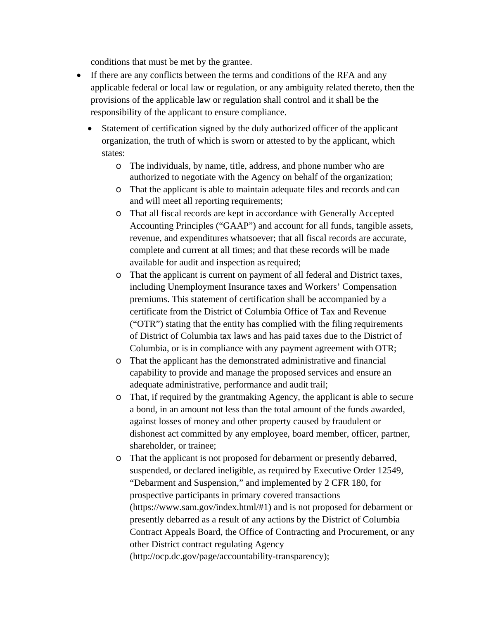conditions that must be met by the grantee.

- If there are any conflicts between the terms and conditions of the RFA and any applicable federal or local law or regulation, or any ambiguity related thereto, then the provisions of the applicable law or regulation shall control and it shall be the responsibility of the applicant to ensure compliance.
	- Statement of certification signed by the duly authorized officer of the applicant organization, the truth of which is sworn or attested to by the applicant, which states:
		- o The individuals, by name, title, address, and phone number who are authorized to negotiate with the Agency on behalf of the organization;
		- o That the applicant is able to maintain adequate files and records and can and will meet all reporting requirements;
		- o That all fiscal records are kept in accordance with Generally Accepted Accounting Principles ("GAAP") and account for all funds, tangible assets, revenue, and expenditures whatsoever; that all fiscal records are accurate, complete and current at all times; and that these records will be made available for audit and inspection as required;
		- o That the applicant is current on payment of all federal and District taxes, including Unemployment Insurance taxes and Workers' Compensation premiums. This statement of certification shall be accompanied by a certificate from the District of Columbia Office of Tax and Revenue ("OTR") stating that the entity has complied with the filing requirements of District of Columbia tax laws and has paid taxes due to the District of Columbia, or is in compliance with any payment agreement with OTR;
		- o That the applicant has the demonstrated administrative and financial capability to provide and manage the proposed services and ensure an adequate administrative, performance and audit trail;
		- o That, if required by the grantmaking Agency, the applicant is able to secure a bond, in an amount not less than the total amount of the funds awarded, against losses of money and other property caused by fraudulent or dishonest act committed by any employee, board member, officer, partner, shareholder, or trainee;
		- o That the applicant is not proposed for debarment or presently debarred, suspended, or declared ineligible, as required by Executive Order 12549, "Debarment and Suspension," and implemented by 2 CFR 180, for prospective participants in primary covered transactions (https://www.sam.gov/index.html/#1) and is not proposed for debarment or presently debarred as a result of any actions by the District of Columbia Contract Appeals Board, the Office of Contracting and Procurement, or any other District contract regulating Agency (http://ocp.dc.gov/page/accountability-transparency);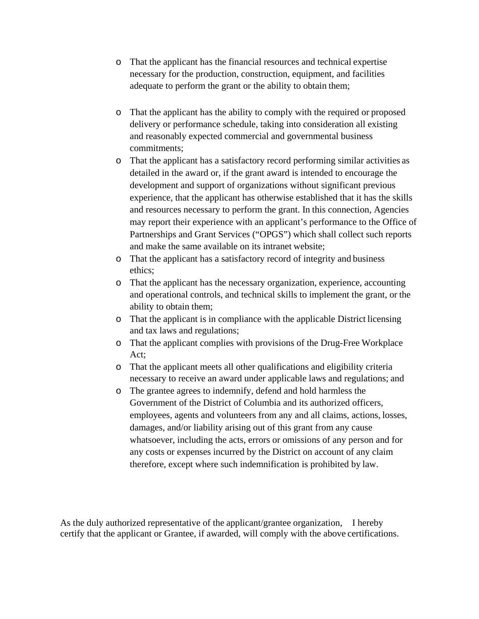- o That the applicant has the financial resources and technical expertise necessary for the production, construction, equipment, and facilities adequate to perform the grant or the ability to obtain them;
- o That the applicant has the ability to comply with the required or proposed delivery or performance schedule, taking into consideration all existing and reasonably expected commercial and governmental business commitments;
- o That the applicant has a satisfactory record performing similar activities as detailed in the award or, if the grant award is intended to encourage the development and support of organizations without significant previous experience, that the applicant has otherwise established that it has the skills and resources necessary to perform the grant. In this connection, Agencies may report their experience with an applicant's performance to the Office of Partnerships and Grant Services ("OPGS") which shall collect such reports and make the same available on its intranet website;
- o That the applicant has a satisfactory record of integrity and business ethics;
- o That the applicant has the necessary organization, experience, accounting and operational controls, and technical skills to implement the grant, or the ability to obtain them;
- o That the applicant is in compliance with the applicable District licensing and tax laws and regulations;
- o That the applicant complies with provisions of the Drug-Free Workplace Act;
- o That the applicant meets all other qualifications and eligibility criteria necessary to receive an award under applicable laws and regulations; and
- o The grantee agrees to indemnify, defend and hold harmless the Government of the District of Columbia and its authorized officers, employees, agents and volunteers from any and all claims, actions, losses, damages, and/or liability arising out of this grant from any cause whatsoever, including the acts, errors or omissions of any person and for any costs or expenses incurred by the District on account of any claim therefore, except where such indemnification is prohibited by law.

As the duly authorized representative of the applicant/grantee organization, I hereby certify that the applicant or Grantee, if awarded, will comply with the above certifications.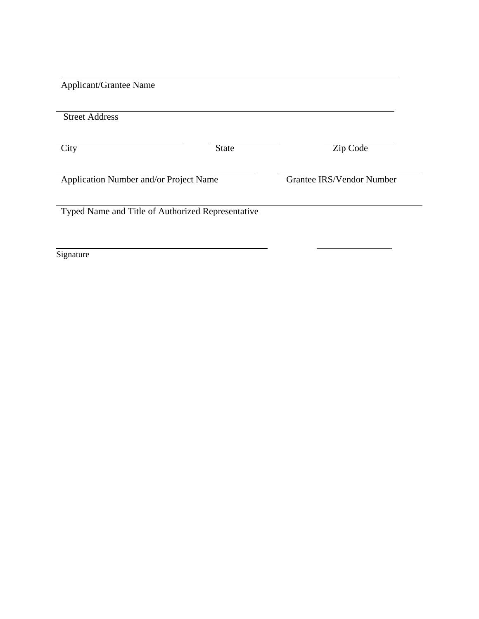Applicant/Grantee Name

| <b>State</b>                                      | Zip Code                  |
|---------------------------------------------------|---------------------------|
| Application Number and/or Project Name            | Grantee IRS/Vendor Number |
| Typed Name and Title of Authorized Representative |                           |
|                                                   |                           |

Signature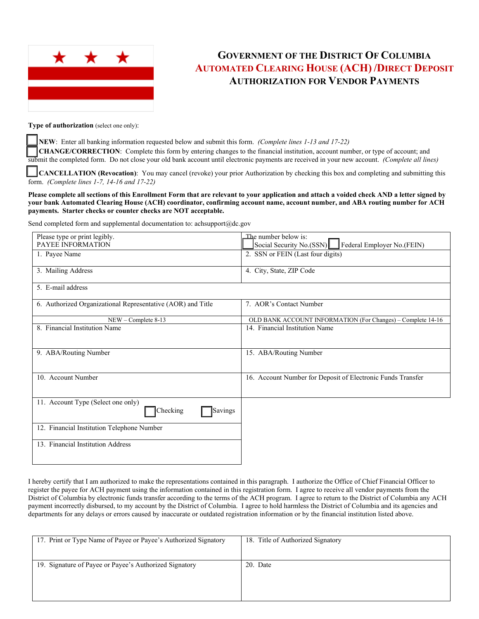

## **GOVERNMENT OF THE DISTRICT OF COLUMBIA AUTOMATED CLEARING HOUSE (ACH) /DIRECT DEPOSIT AUTHORIZATION FOR VENDOR PAYMENTS**

**Type of authorization** (select one only):

NEW: Enter all banking information requested below and submit this form. *(Complete lines 1-13 and 17-22)* **CHANGE/CORRECTION:** Complete this form by entering changes to the financial institution, account number, or type of account; and submit the completed form. Do not close your old bank account until electronic payments are received in your new account. *(Complete all lines)*

☐ **CANCELLATION (Revocation)**: You may cancel (revoke) your prior Authorization by checking this box and completing and submitting this form. *(Complete lines 1-7, 14-16 and 17-22)* 

**Please complete all sections of this Enrollment Form that are relevant to your application and attach a voided check AND a letter signed by your bank Automated Clearing House (ACH) coordinator, confirming account name, account number, and ABA routing number for ACH payments. Starter checks or counter checks are NOT acceptable.** 

Send completed form and supplemental documentation to: achsupport@dc.gov

| Please type or print legibly.                               | The number below is:                                        |
|-------------------------------------------------------------|-------------------------------------------------------------|
| PAYEE INFORMATION                                           | Federal Employer No.(FEIN)<br>Social Security No.(SSN)      |
| 1. Payee Name                                               | 2. SSN or FEIN (Last four digits)                           |
|                                                             |                                                             |
| 3. Mailing Address                                          | 4. City, State, ZIP Code                                    |
| 5. E-mail address                                           |                                                             |
|                                                             |                                                             |
| 6. Authorized Organizational Representative (AOR) and Title | 7. AOR's Contact Number                                     |
|                                                             |                                                             |
| $NEW$ – Complete 8-13                                       | OLD BANK ACCOUNT INFORMATION (For Changes) - Complete 14-16 |
| 8. Financial Institution Name                               | 14. Financial Institution Name                              |
|                                                             |                                                             |
|                                                             |                                                             |
| 9. ABA/Routing Number                                       | 15. ABA/Routing Number                                      |
|                                                             |                                                             |
| 10. Account Number                                          | 16. Account Number for Deposit of Electronic Funds Transfer |
|                                                             |                                                             |
|                                                             |                                                             |
| 11. Account Type (Select one only)                          |                                                             |
| Savings<br>Checking                                         |                                                             |
|                                                             |                                                             |
| 12. Financial Institution Telephone Number                  |                                                             |
| 13. Financial Institution Address                           |                                                             |
|                                                             |                                                             |
|                                                             |                                                             |

I hereby certify that I am authorized to make the representations contained in this paragraph. I authorize the Office of Chief Financial Officer to register the payee for ACH payment using the information contained in this registration form. I agree to receive all vendor payments from the District of Columbia by electronic funds transfer according to the terms of the ACH program. I agree to return to the District of Columbia any ACH payment incorrectly disbursed, to my account by the District of Columbia. I agree to hold harmless the District of Columbia and its agencies and departments for any delays or errors caused by inaccurate or outdated registration information or by the financial institution listed above.

| 17. Print or Type Name of Payee or Payee's Authorized Signatory | 18. Title of Authorized Signatory |
|-----------------------------------------------------------------|-----------------------------------|
|                                                                 |                                   |
| 19. Signature of Payee or Payee's Authorized Signatory          | 20. Date                          |
|                                                                 |                                   |
|                                                                 |                                   |
|                                                                 |                                   |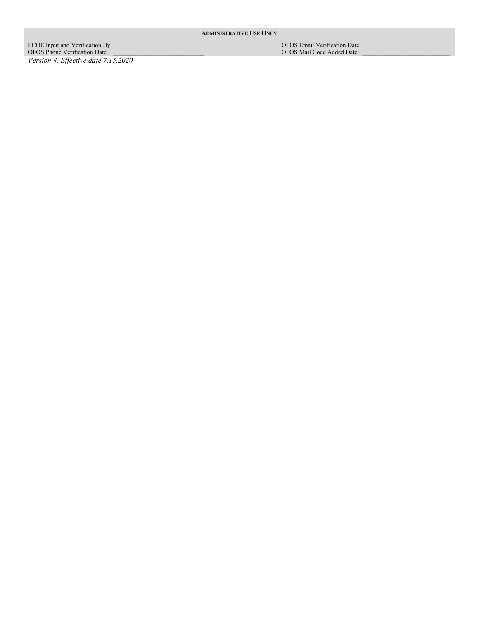**ADMINISTRATIVE USE ONLY**

PCOE Input and Verification By: \_\_\_\_\_\_\_\_\_\_\_\_\_\_\_\_\_\_\_\_\_\_\_\_\_\_\_\_\_ OFOS Email Verification Date: \_\_\_\_\_\_\_\_\_\_\_\_\_\_\_\_\_\_\_\_\_\_ OFOS Phone Verification Date : \_\_\_\_\_\_\_\_\_\_\_\_\_\_\_\_\_\_\_\_\_\_\_\_\_\_\_\_\_ OFOS Mail Code Added Date: \_\_\_\_\_\_\_\_\_\_\_\_\_\_\_\_\_\_\_\_\_\_\_\_\_\_\_\_

*Version 4, Effective date 7.15.2020*